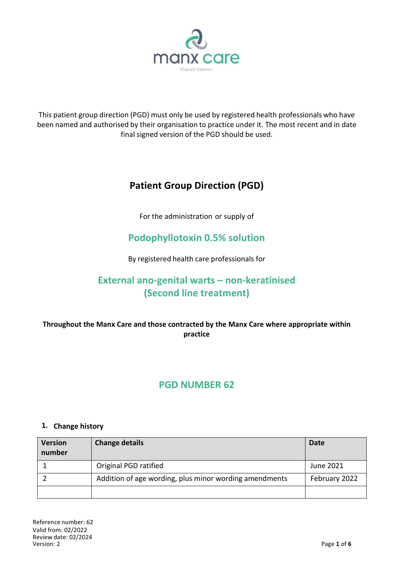

This patient group direction (PGD) must only be used by registered health professionals who have been named and authorised by their organisation to practice under it. The most recent and in date final signed version of the PGD should be used.

# **Patient Group Direction (PGD)**

For the administration or supply of

## **Podophyllotoxin 0.5% solution**

By registered health care professionals for

# **External ano-genital warts – non-keratinised (Second line treatment)**

## **Throughout the Manx Care and those contracted by the Manx Care where appropriate within practice**

## **PGD NUMBER 62**

### **1. Change history**

| <b>Version</b><br>number | <b>Change details</b>                                  | Date          |
|--------------------------|--------------------------------------------------------|---------------|
|                          | Original PGD ratified                                  | June 2021     |
|                          | Addition of age wording, plus minor wording amendments | February 2022 |
|                          |                                                        |               |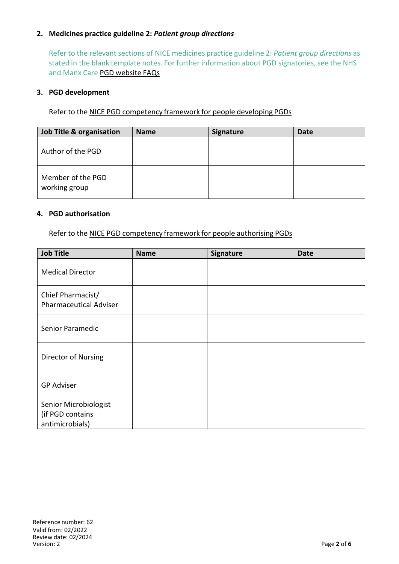### **2. Medicines practice guideline 2:** *Patient group directions*

Refer to the relevant sections of NICE medicines practice guideline 2: *Patient group directions* as stated in the blank template notes. For further information about PGD signatories, see the NHS and Manx Care PGD website FAQs

#### **3. PGD development**

Refer to the NICE PGD competency framework for people developing PGDs

| Job Title & organisation           | <b>Name</b> | <b>Signature</b> | <b>Date</b> |
|------------------------------------|-------------|------------------|-------------|
| Author of the PGD                  |             |                  |             |
| Member of the PGD<br>working group |             |                  |             |

#### **4. PGD authorisation**

Refer to the NICE PGD competency framework for people authorising PGDs

| <b>Job Title</b>                                             | <b>Name</b> | Signature | <b>Date</b> |
|--------------------------------------------------------------|-------------|-----------|-------------|
| <b>Medical Director</b>                                      |             |           |             |
| Chief Pharmacist/<br><b>Pharmaceutical Adviser</b>           |             |           |             |
| Senior Paramedic                                             |             |           |             |
| Director of Nursing                                          |             |           |             |
| <b>GP Adviser</b>                                            |             |           |             |
| Senior Microbiologist<br>(if PGD contains<br>antimicrobials) |             |           |             |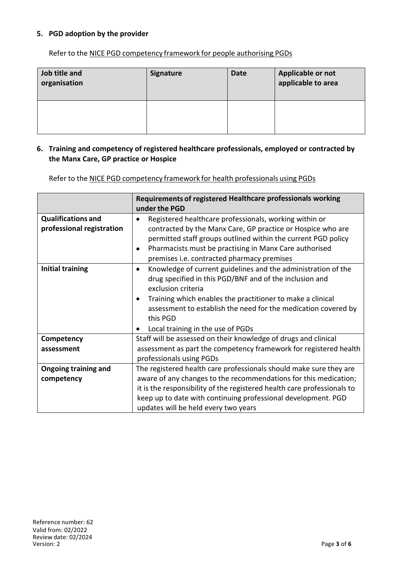### **5. PGD adoption by the provider**

Refer to the NICE PGD competency framework for people authorising PGDs

| Job title and<br>organisation | <b>Signature</b> | <b>Date</b> | Applicable or not<br>applicable to area |
|-------------------------------|------------------|-------------|-----------------------------------------|
|                               |                  |             |                                         |

#### **6. Training and competency of registered healthcare professionals, employed or contracted by the Manx Care, GP practice or Hospice**

Refer to the NICE PGD competency framework for health professionals using PGDs

|                                                        | Requirements of registered Healthcare professionals working<br>under the PGD                                                                                                                                                                                                                                                                 |
|--------------------------------------------------------|----------------------------------------------------------------------------------------------------------------------------------------------------------------------------------------------------------------------------------------------------------------------------------------------------------------------------------------------|
| <b>Qualifications and</b><br>professional registration | Registered healthcare professionals, working within or<br>contracted by the Manx Care, GP practice or Hospice who are<br>permitted staff groups outlined within the current PGD policy<br>Pharmacists must be practising in Manx Care authorised<br>premises i.e. contracted pharmacy premises                                               |
| <b>Initial training</b>                                | Knowledge of current guidelines and the administration of the<br>$\bullet$<br>drug specified in this PGD/BNF and of the inclusion and<br>exclusion criteria<br>Training which enables the practitioner to make a clinical<br>assessment to establish the need for the medication covered by<br>this PGD<br>Local training in the use of PGDs |
| Competency                                             | Staff will be assessed on their knowledge of drugs and clinical                                                                                                                                                                                                                                                                              |
| assessment                                             | assessment as part the competency framework for registered health<br>professionals using PGDs                                                                                                                                                                                                                                                |
| <b>Ongoing training and</b>                            | The registered health care professionals should make sure they are                                                                                                                                                                                                                                                                           |
| competency                                             | aware of any changes to the recommendations for this medication;                                                                                                                                                                                                                                                                             |
|                                                        | it is the responsibility of the registered health care professionals to                                                                                                                                                                                                                                                                      |
|                                                        | keep up to date with continuing professional development. PGD                                                                                                                                                                                                                                                                                |
|                                                        | updates will be held every two years                                                                                                                                                                                                                                                                                                         |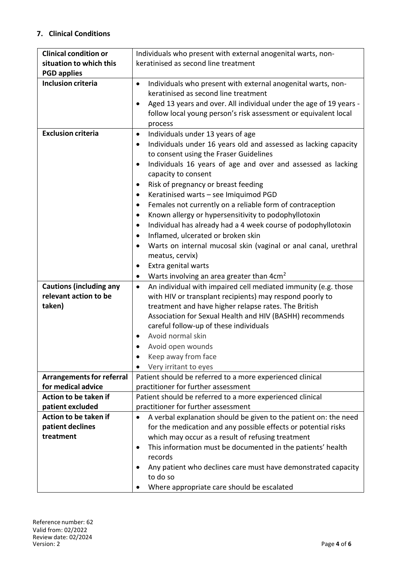### **7. Clinical Conditions**

| <b>Clinical condition or</b>     | Individuals who present with external anogenital warts, non-                 |  |  |
|----------------------------------|------------------------------------------------------------------------------|--|--|
| situation to which this          | keratinised as second line treatment                                         |  |  |
| <b>PGD applies</b>               |                                                                              |  |  |
| <b>Inclusion criteria</b>        | Individuals who present with external anogenital warts, non-<br>$\bullet$    |  |  |
|                                  | keratinised as second line treatment                                         |  |  |
|                                  | Aged 13 years and over. All individual under the age of 19 years -<br>٠      |  |  |
|                                  | follow local young person's risk assessment or equivalent local              |  |  |
|                                  | process                                                                      |  |  |
| <b>Exclusion criteria</b>        | Individuals under 13 years of age<br>$\bullet$                               |  |  |
|                                  | Individuals under 16 years old and assessed as lacking capacity<br>$\bullet$ |  |  |
|                                  | to consent using the Fraser Guidelines                                       |  |  |
|                                  | Individuals 16 years of age and over and assessed as lacking<br>٠            |  |  |
|                                  | capacity to consent                                                          |  |  |
|                                  | Risk of pregnancy or breast feeding<br>٠                                     |  |  |
|                                  | Keratinised warts - see Imiquimod PGD<br>٠                                   |  |  |
|                                  | Females not currently on a reliable form of contraception<br>$\bullet$       |  |  |
|                                  | Known allergy or hypersensitivity to podophyllotoxin<br>$\bullet$            |  |  |
|                                  | Individual has already had a 4 week course of podophyllotoxin<br>٠           |  |  |
|                                  | Inflamed, ulcerated or broken skin<br>$\bullet$                              |  |  |
|                                  | Warts on internal mucosal skin (vaginal or anal canal, urethral<br>٠         |  |  |
|                                  | meatus, cervix)                                                              |  |  |
|                                  | Extra genital warts<br>٠                                                     |  |  |
|                                  | Warts involving an area greater than 4cm <sup>2</sup><br>$\bullet$           |  |  |
| <b>Cautions (including any</b>   | An individual with impaired cell mediated immunity (e.g. those<br>$\bullet$  |  |  |
| relevant action to be            | with HIV or transplant recipients) may respond poorly to                     |  |  |
| taken)                           | treatment and have higher relapse rates. The British                         |  |  |
|                                  | Association for Sexual Health and HIV (BASHH) recommends                     |  |  |
|                                  | careful follow-up of these individuals                                       |  |  |
|                                  | Avoid normal skin                                                            |  |  |
|                                  | Avoid open wounds                                                            |  |  |
|                                  | Keep away from face                                                          |  |  |
|                                  | Very irritant to eyes<br>٠                                                   |  |  |
| <b>Arrangements for referral</b> | Patient should be referred to a more experienced clinical                    |  |  |
| for medical advice               | practitioner for further assessment                                          |  |  |
| Action to be taken if            | Patient should be referred to a more experienced clinical                    |  |  |
| patient excluded                 | practitioner for further assessment                                          |  |  |
| Action to be taken if            | A verbal explanation should be given to the patient on: the need             |  |  |
| patient declines                 | for the medication and any possible effects or potential risks               |  |  |
| treatment                        | which may occur as a result of refusing treatment                            |  |  |
|                                  | This information must be documented in the patients' health<br>$\bullet$     |  |  |
|                                  | records                                                                      |  |  |
|                                  | Any patient who declines care must have demonstrated capacity<br>٠           |  |  |
|                                  | to do so                                                                     |  |  |
|                                  | Where appropriate care should be escalated<br>$\bullet$                      |  |  |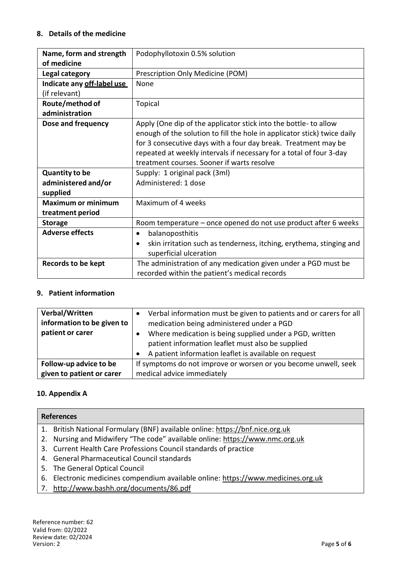### **8. Details of the medicine**

| Name, form and strength           | Podophyllotoxin 0.5% solution                                                                                                                                                                                                                                                                                                       |
|-----------------------------------|-------------------------------------------------------------------------------------------------------------------------------------------------------------------------------------------------------------------------------------------------------------------------------------------------------------------------------------|
| of medicine                       |                                                                                                                                                                                                                                                                                                                                     |
| Legal category                    | Prescription Only Medicine (POM)                                                                                                                                                                                                                                                                                                    |
| Indicate any off-label use        | None                                                                                                                                                                                                                                                                                                                                |
| (if relevant)                     |                                                                                                                                                                                                                                                                                                                                     |
| Route/method of<br>administration | <b>Topical</b>                                                                                                                                                                                                                                                                                                                      |
| Dose and frequency                | Apply (One dip of the applicator stick into the bottle- to allow<br>enough of the solution to fill the hole in applicator stick) twice daily<br>for 3 consecutive days with a four day break. Treatment may be<br>repeated at weekly intervals if necessary for a total of four 3-day<br>treatment courses. Sooner if warts resolve |
| <b>Quantity to be</b>             | Supply: 1 original pack (3ml)                                                                                                                                                                                                                                                                                                       |
| administered and/or               | Administered: 1 dose                                                                                                                                                                                                                                                                                                                |
| supplied                          |                                                                                                                                                                                                                                                                                                                                     |
| <b>Maximum or minimum</b>         | Maximum of 4 weeks                                                                                                                                                                                                                                                                                                                  |
| treatment period                  |                                                                                                                                                                                                                                                                                                                                     |
| <b>Storage</b>                    | Room temperature - once opened do not use product after 6 weeks                                                                                                                                                                                                                                                                     |
| <b>Adverse effects</b>            | balanoposthitis<br>$\bullet$                                                                                                                                                                                                                                                                                                        |
|                                   | skin irritation such as tenderness, itching, erythema, stinging and<br>$\bullet$<br>superficial ulceration                                                                                                                                                                                                                          |
| Records to be kept                | The administration of any medication given under a PGD must be<br>recorded within the patient's medical records                                                                                                                                                                                                                     |

## **9. Patient information**

| Verbal/Written<br>information to be given to | Verbal information must be given to patients and or carers for all<br>medication being administered under a PGD                                                       |
|----------------------------------------------|-----------------------------------------------------------------------------------------------------------------------------------------------------------------------|
| patient or carer                             | Where medication is being supplied under a PGD, written<br>patient information leaflet must also be supplied<br>A patient information leaflet is available on request |
| Follow-up advice to be                       | If symptoms do not improve or worsen or you become unwell, seek                                                                                                       |
| given to patient or carer                    | medical advice immediately                                                                                                                                            |

## **10. Appendix A**

| <b>References</b>                                                                 |
|-----------------------------------------------------------------------------------|
| 1. British National Formulary (BNF) available online: https://bnf.nice.org.uk     |
| 2. Nursing and Midwifery "The code" available online: https://www.nmc.org.uk      |
| 3. Current Health Care Professions Council standards of practice                  |
| 4. General Pharmaceutical Council standards                                       |
| 5. The General Optical Council                                                    |
| 6. Electronic medicines compendium available online: https://www.medicines.org.uk |
| 7. http://www.bashh.org/documents/86.pdf                                          |